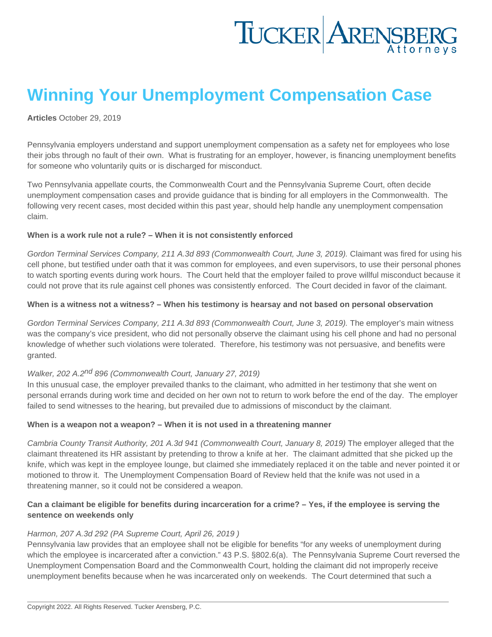## Winning Your Unemployment Compensation Case

[Articles](https://www.tuckerlaw.com/category/articles/) October 29, 2019

Pennsylvania employers understand and support unemployment compensation as a safety net for employees who lose their jobs through no fault of their own. What is frustrating for an employer, however, is financing unemployment benefits for someone who voluntarily quits or is discharged for misconduct.

Two Pennsylvania appellate courts, the Commonwealth Court and the Pennsylvania Supreme Court, often decide unemployment compensation cases and provide guidance that is binding for all employers in the Commonwealth. The following very recent cases, most decided within this past year, should help handle any unemployment compensation claim.

When is a work rule not a rule? – When it is not consistently enforced

Gordon Terminal Services Company, 211 A.3d 893 (Commonwealth Court, June 3, 2019). Claimant was fired for using his cell phone, but testified under oath that it was common for employees, and even supervisors, to use their personal phones to watch sporting events during work hours. The Court held that the employer failed to prove willful misconduct because it could not prove that its rule against cell phones was consistently enforced. The Court decided in favor of the claimant.

When is a witness not a witness? – When his testimony is hearsay and not based on personal observation

Gordon Terminal Services Company, 211 A.3d 893 (Commonwealth Court, June 3, 2019). The employer's main witness was the company's vice president, who did not personally observe the claimant using his cell phone and had no personal knowledge of whether such violations were tolerated. Therefore, his testimony was not persuasive, and benefits were granted.

### Walker. 202 A.2<sup>nd</sup> 896 (Commonwealth Court, January 27, 2019)

In this unusual case, the employer prevailed thanks to the claimant, who admitted in her testimony that she went on personal errands during work time and decided on her own not to return to work before the end of the day. The employer failed to send witnesses to the hearing, but prevailed due to admissions of misconduct by the claimant.

When is a weapon not a weapon? – When it is not used in a threatening manner

Cambria County Transit Authority, 201 A.3d 941 (Commonwealth Court, January 8, 2019) The employer alleged that the claimant threatened its HR assistant by pretending to throw a knife at her. The claimant admitted that she picked up the knife, which was kept in the employee lounge, but claimed she immediately replaced it on the table and never pointed it or motioned to throw it. The Unemployment Compensation Board of Review held that the knife was not used in a threatening manner, so it could not be considered a weapon.

Can a claimant be eligible for benefits during incarceration for a crime? – Yes, if the employee is serving the sentence on weekends only

#### Harmon, 207 A.3d 292 (PA Supreme Court, April 26, 2019 )

Pennsylvania law provides that an employee shall not be eligible for benefits "for any weeks of unemployment during which the employee is incarcerated after a conviction." 43 P.S. §802.6(a). The Pennsylvania Supreme Court reversed the Unemployment Compensation Board and the Commonwealth Court, holding the claimant did not improperly receive unemployment benefits because when he was incarcerated only on weekends. The Court determined that such a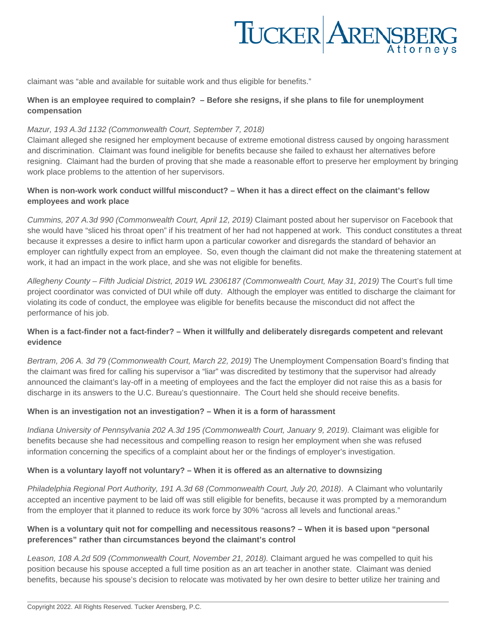# TUCKER ARENSBERG

claimant was "able and available for suitable work and thus eligible for benefits."

#### **When is an employee required to complain? – Before she resigns, if she plans to file for unemployment compensation**

#### Mazur, 193 A.3d 1132 (Commonwealth Court, September 7, 2018)

Claimant alleged she resigned her employment because of extreme emotional distress caused by ongoing harassment and discrimination. Claimant was found ineligible for benefits because she failed to exhaust her alternatives before resigning. Claimant had the burden of proving that she made a reasonable effort to preserve her employment by bringing work place problems to the attention of her supervisors.

#### **When is non-work work conduct willful misconduct? – When it has a direct effect on the claimant's fellow employees and work place**

Cummins, 207 A.3d 990 (Commonwealth Court, April 12, 2019) Claimant posted about her supervisor on Facebook that she would have "sliced his throat open" if his treatment of her had not happened at work. This conduct constitutes a threat because it expresses a desire to inflict harm upon a particular coworker and disregards the standard of behavior an employer can rightfully expect from an employee. So, even though the claimant did not make the threatening statement at work, it had an impact in the work place, and she was not eligible for benefits.

Allegheny County – Fifth Judicial District, 2019 WL 2306187 (Commonwealth Court, May 31, 2019) The Court's full time project coordinator was convicted of DUI while off duty. Although the employer was entitled to discharge the claimant for violating its code of conduct, the employee was eligible for benefits because the misconduct did not affect the performance of his job.

#### **When is a fact-finder not a fact-finder? – When it willfully and deliberately disregards competent and relevant evidence**

Bertram, 206 A. 3d 79 (Commonwealth Court, March 22, 2019) The Unemployment Compensation Board's finding that the claimant was fired for calling his supervisor a "liar" was discredited by testimony that the supervisor had already announced the claimant's lay-off in a meeting of employees and the fact the employer did not raise this as a basis for discharge in its answers to the U.C. Bureau's questionnaire. The Court held she should receive benefits.

#### **When is an investigation not an investigation? – When it is a form of harassment**

Indiana University of Pennsylvania 202 A.3d 195 (Commonwealth Court, January 9, 2019). Claimant was eligible for benefits because she had necessitous and compelling reason to resign her employment when she was refused information concerning the specifics of a complaint about her or the findings of employer's investigation.

#### **When is a voluntary layoff not voluntary? – When it is offered as an alternative to downsizing**

Philadelphia Regional Port Authority, 191 A.3d 68 (Commonwealth Court, July 20, 2018). A Claimant who voluntarily accepted an incentive payment to be laid off was still eligible for benefits, because it was prompted by a memorandum from the employer that it planned to reduce its work force by 30% "across all levels and functional areas."

#### **When is a voluntary quit not for compelling and necessitous reasons? – When it is based upon "personal preferences" rather than circumstances beyond the claimant's control**

Leason, 108 A.2d 509 (Commonwealth Court, November 21, 2018). Claimant argued he was compelled to quit his position because his spouse accepted a full time position as an art teacher in another state. Claimant was denied benefits, because his spouse's decision to relocate was motivated by her own desire to better utilize her training and